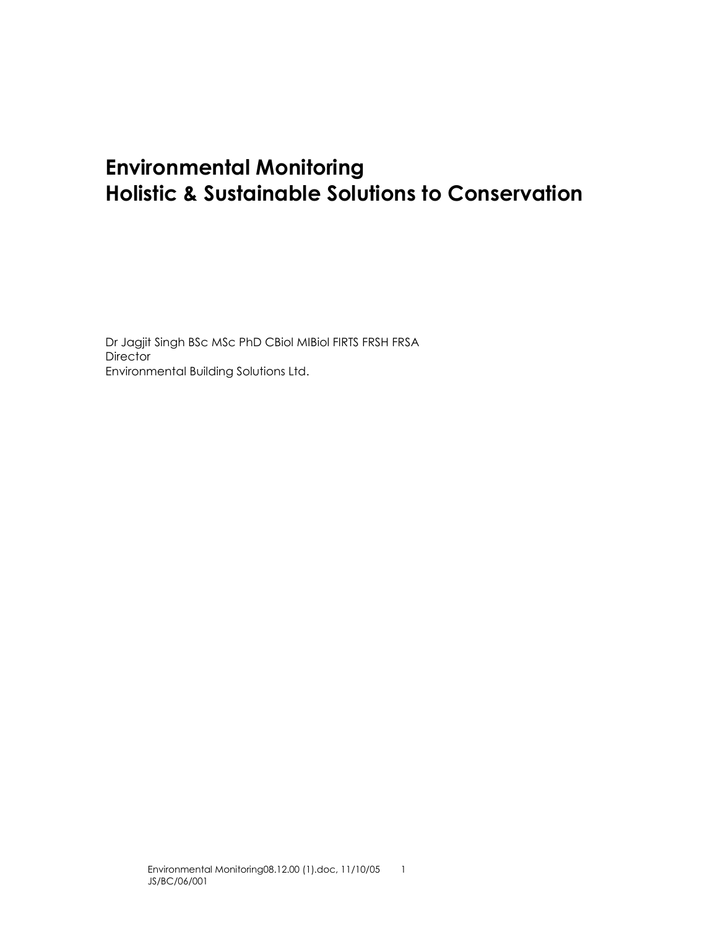# Environmental Monitoring Holistic & Sustainable Solutions to Conservation

Dr Jagjit Singh BSc MSc PhD CBiol MIBiol FIRTS FRSH FRSA **Director** Environmental Building Solutions Ltd.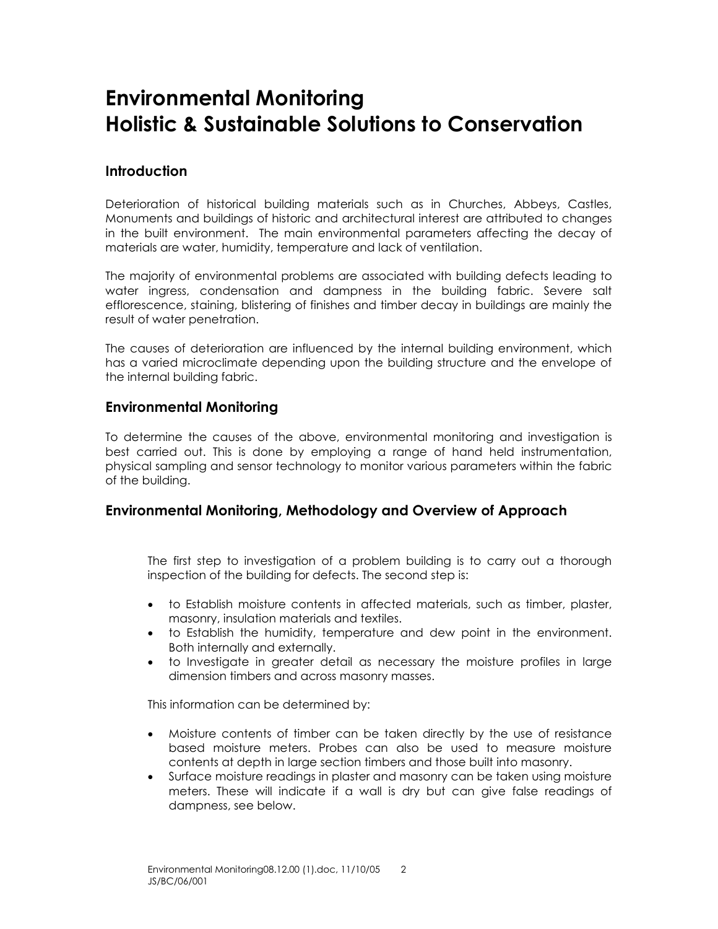# Environmental Monitoring Holistic & Sustainable Solutions to Conservation

### **Introduction**

Deterioration of historical building materials such as in Churches, Abbeys, Castles, Monuments and buildings of historic and architectural interest are attributed to changes in the built environment. The main environmental parameters affecting the decay of materials are water, humidity, temperature and lack of ventilation.

The majority of environmental problems are associated with building defects leading to water ingress, condensation and dampness in the building fabric. Severe salt efflorescence, staining, blistering of finishes and timber decay in buildings are mainly the result of water penetration.

The causes of deterioration are influenced by the internal building environment, which has a varied microclimate depending upon the building structure and the envelope of the internal building fabric.

#### Environmental Monitoring

To determine the causes of the above, environmental monitoring and investigation is best carried out. This is done by employing a range of hand held instrumentation, physical sampling and sensor technology to monitor various parameters within the fabric of the building.

#### Environmental Monitoring, Methodology and Overview of Approach

The first step to investigation of a problem building is to carry out a thorough inspection of the building for defects. The second step is:

- to Establish moisture contents in affected materials, such as timber, plaster, masonry, insulation materials and textiles.
- to Establish the humidity, temperature and dew point in the environment. Both internally and externally.
- to Investigate in greater detail as necessary the moisture profiles in large dimension timbers and across masonry masses.

This information can be determined by:

- Moisture contents of timber can be taken directly by the use of resistance based moisture meters. Probes can also be used to measure moisture contents at depth in large section timbers and those built into masonry.
- Surface moisture readings in plaster and masonry can be taken using moisture meters. These will indicate if a wall is dry but can give false readings of dampness, see below.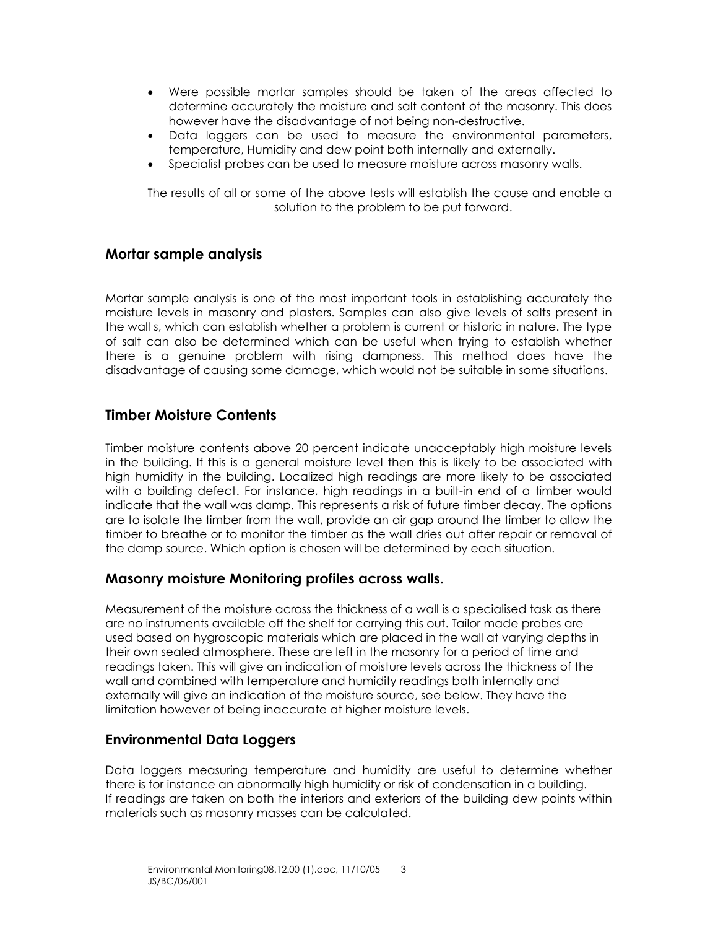- Were possible mortar samples should be taken of the areas affected to determine accurately the moisture and salt content of the masonry. This does however have the disadvantage of not being non-destructive.
- Data loggers can be used to measure the environmental parameters, temperature, Humidity and dew point both internally and externally.
- Specialist probes can be used to measure moisture across masonry walls.

The results of all or some of the above tests will establish the cause and enable a solution to the problem to be put forward.

#### Mortar sample analysis

Mortar sample analysis is one of the most important tools in establishing accurately the moisture levels in masonry and plasters. Samples can also give levels of salts present in the wall s, which can establish whether a problem is current or historic in nature. The type of salt can also be determined which can be useful when trying to establish whether there is a genuine problem with rising dampness. This method does have the disadvantage of causing some damage, which would not be suitable in some situations.

#### Timber Moisture Contents

Timber moisture contents above 20 percent indicate unacceptably high moisture levels in the building. If this is a general moisture level then this is likely to be associated with high humidity in the building. Localized high readings are more likely to be associated with a building defect. For instance, high readings in a built-in end of a timber would indicate that the wall was damp. This represents a risk of future timber decay. The options are to isolate the timber from the wall, provide an air gap around the timber to allow the timber to breathe or to monitor the timber as the wall dries out after repair or removal of the damp source. Which option is chosen will be determined by each situation.

#### Masonry moisture Monitoring profiles across walls.

Measurement of the moisture across the thickness of a wall is a specialised task as there are no instruments available off the shelf for carrying this out. Tailor made probes are used based on hygroscopic materials which are placed in the wall at varying depths in their own sealed atmosphere. These are left in the masonry for a period of time and readings taken. This will give an indication of moisture levels across the thickness of the wall and combined with temperature and humidity readings both internally and externally will give an indication of the moisture source, see below. They have the limitation however of being inaccurate at higher moisture levels.

#### Environmental Data Loggers

Data loggers measuring temperature and humidity are useful to determine whether there is for instance an abnormally high humidity or risk of condensation in a building. If readings are taken on both the interiors and exteriors of the building dew points within materials such as masonry masses can be calculated.